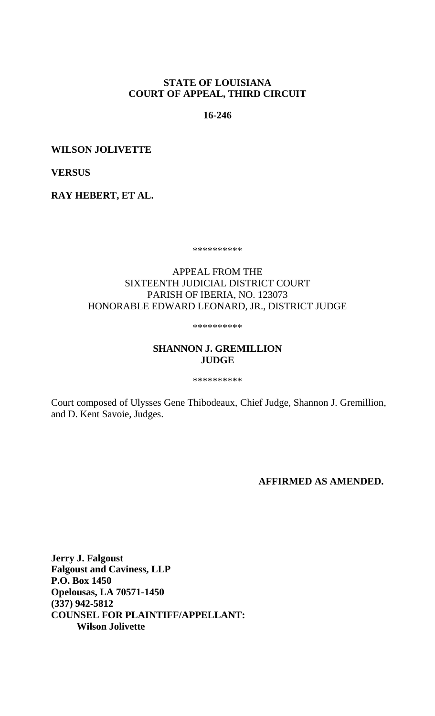# **STATE OF LOUISIANA COURT OF APPEAL, THIRD CIRCUIT**

**16-246**

**WILSON JOLIVETTE** 

**VERSUS** 

**RAY HEBERT, ET AL.** 

\*\*\*\*\*\*\*\*\*\*

# APPEAL FROM THE SIXTEENTH JUDICIAL DISTRICT COURT PARISH OF IBERIA, NO. 123073 HONORABLE EDWARD LEONARD, JR., DISTRICT JUDGE

\*\*\*\*\*\*\*\*\*\*

# **SHANNON J. GREMILLION JUDGE**

\*\*\*\*\*\*\*\*\*\*

Court composed of Ulysses Gene Thibodeaux, Chief Judge, Shannon J. Gremillion, and D. Kent Savoie, Judges.

**AFFIRMED AS AMENDED.**

**Jerry J. Falgoust Falgoust and Caviness, LLP P.O. Box 1450 Opelousas, LA 70571-1450 (337) 942-5812 COUNSEL FOR PLAINTIFF/APPELLANT: Wilson Jolivette**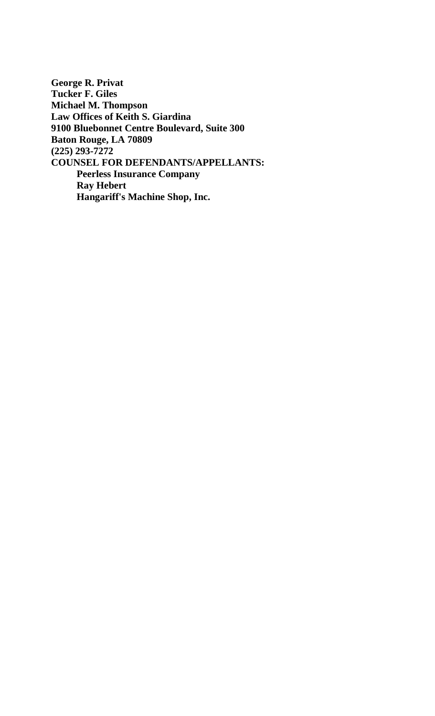**George R. Privat Tucker F. Giles Michael M. Thompson Law Offices of Keith S. Giardina 9100 Bluebonnet Centre Boulevard, Suite 300 Baton Rouge, LA 70809 (225) 293-7272 COUNSEL FOR DEFENDANTS/APPELLANTS: Peerless Insurance Company Ray Hebert Hangariff's Machine Shop, Inc.**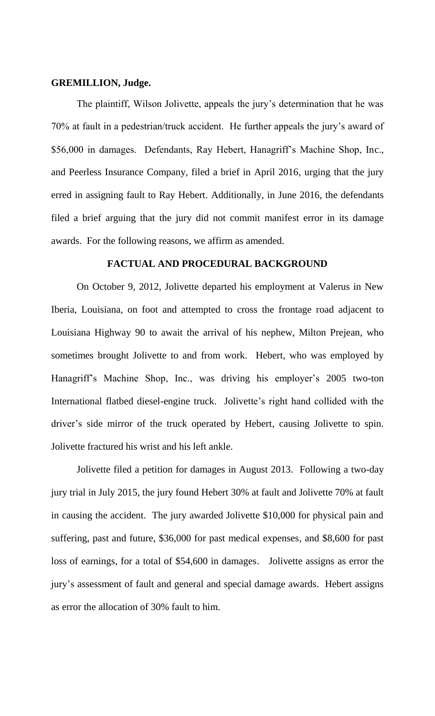# **GREMILLION, Judge.**

The plaintiff, Wilson Jolivette, appeals the jury's determination that he was 70% at fault in a pedestrian/truck accident. He further appeals the jury's award of \$56,000 in damages. Defendants, Ray Hebert, Hanagriff's Machine Shop, Inc., and Peerless Insurance Company, filed a brief in April 2016, urging that the jury erred in assigning fault to Ray Hebert. Additionally, in June 2016, the defendants filed a brief arguing that the jury did not commit manifest error in its damage awards. For the following reasons, we affirm as amended.

#### **FACTUAL AND PROCEDURAL BACKGROUND**

On October 9, 2012, Jolivette departed his employment at Valerus in New Iberia, Louisiana, on foot and attempted to cross the frontage road adjacent to Louisiana Highway 90 to await the arrival of his nephew, Milton Prejean, who sometimes brought Jolivette to and from work. Hebert, who was employed by Hanagriff's Machine Shop, Inc., was driving his employer's 2005 two-ton International flatbed diesel-engine truck. Jolivette's right hand collided with the driver's side mirror of the truck operated by Hebert, causing Jolivette to spin. Jolivette fractured his wrist and his left ankle.

Jolivette filed a petition for damages in August 2013. Following a two-day jury trial in July 2015, the jury found Hebert 30% at fault and Jolivette 70% at fault in causing the accident. The jury awarded Jolivette \$10,000 for physical pain and suffering, past and future, \$36,000 for past medical expenses, and \$8,600 for past loss of earnings, for a total of \$54,600 in damages. Jolivette assigns as error the jury's assessment of fault and general and special damage awards. Hebert assigns as error the allocation of 30% fault to him.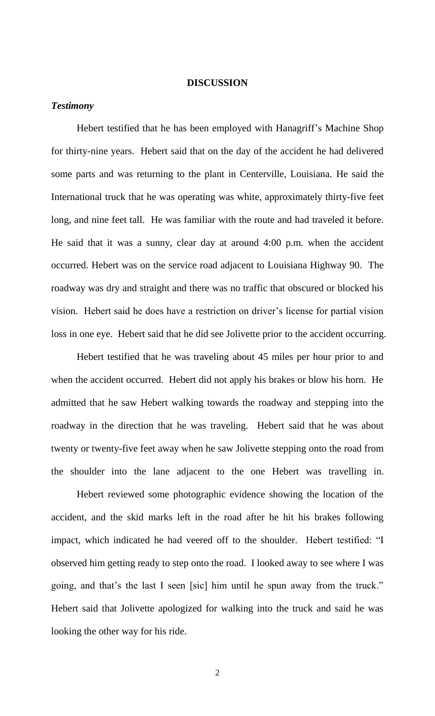### **DISCUSSION**

#### *Testimony*

Hebert testified that he has been employed with Hanagriff's Machine Shop for thirty-nine years. Hebert said that on the day of the accident he had delivered some parts and was returning to the plant in Centerville, Louisiana. He said the International truck that he was operating was white, approximately thirty-five feet long, and nine feet tall. He was familiar with the route and had traveled it before. He said that it was a sunny, clear day at around 4:00 p.m. when the accident occurred. Hebert was on the service road adjacent to Louisiana Highway 90. The roadway was dry and straight and there was no traffic that obscured or blocked his vision. Hebert said he does have a restriction on driver's license for partial vision loss in one eye. Hebert said that he did see Jolivette prior to the accident occurring.

Hebert testified that he was traveling about 45 miles per hour prior to and when the accident occurred. Hebert did not apply his brakes or blow his horn. He admitted that he saw Hebert walking towards the roadway and stepping into the roadway in the direction that he was traveling. Hebert said that he was about twenty or twenty-five feet away when he saw Jolivette stepping onto the road from the shoulder into the lane adjacent to the one Hebert was travelling in.

Hebert reviewed some photographic evidence showing the location of the accident, and the skid marks left in the road after he hit his brakes following impact, which indicated he had veered off to the shoulder. Hebert testified: "I observed him getting ready to step onto the road. I looked away to see where I was going, and that's the last I seen [sic] him until he spun away from the truck." Hebert said that Jolivette apologized for walking into the truck and said he was looking the other way for his ride.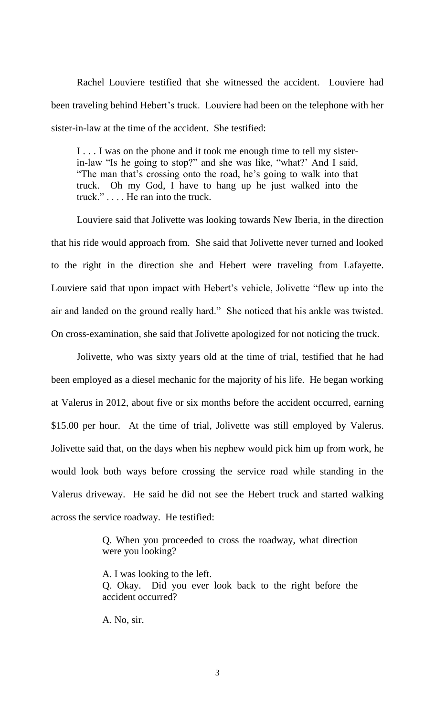Rachel Louviere testified that she witnessed the accident. Louviere had been traveling behind Hebert's truck. Louviere had been on the telephone with her sister-in-law at the time of the accident. She testified:

I . . . I was on the phone and it took me enough time to tell my sisterin-law "Is he going to stop?" and she was like, "what?' And I said, ―The man that's crossing onto the road, he's going to walk into that truck. Oh my God, I have to hang up he just walked into the truck." $\dots$ . He ran into the truck.

Louviere said that Jolivette was looking towards New Iberia, in the direction that his ride would approach from. She said that Jolivette never turned and looked to the right in the direction she and Hebert were traveling from Lafayette. Louviere said that upon impact with Hebert's vehicle, Jolivette "flew up into the air and landed on the ground really hard." She noticed that his ankle was twisted. On cross-examination, she said that Jolivette apologized for not noticing the truck.

Jolivette, who was sixty years old at the time of trial, testified that he had been employed as a diesel mechanic for the majority of his life. He began working at Valerus in 2012, about five or six months before the accident occurred, earning \$15.00 per hour. At the time of trial, Jolivette was still employed by Valerus. Jolivette said that, on the days when his nephew would pick him up from work, he would look both ways before crossing the service road while standing in the Valerus driveway. He said he did not see the Hebert truck and started walking across the service roadway. He testified:

> Q. When you proceeded to cross the roadway, what direction were you looking?

> A. I was looking to the left. Q. Okay. Did you ever look back to the right before the accident occurred?

A. No, sir.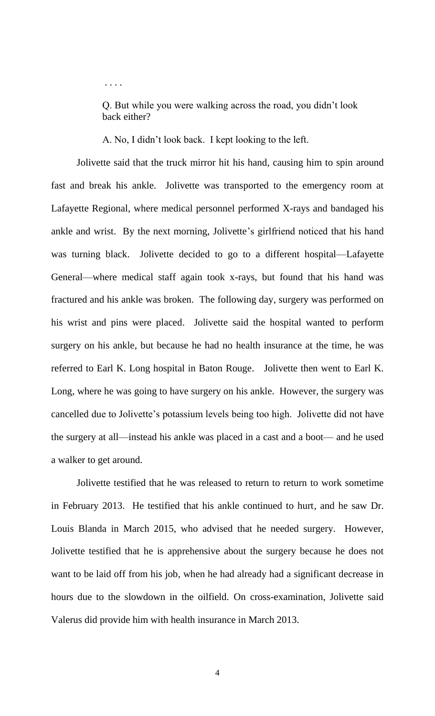Q. But while you were walking across the road, you didn't look back either?

A. No, I didn't look back. I kept looking to the left.

. . . .

Jolivette said that the truck mirror hit his hand, causing him to spin around fast and break his ankle. Jolivette was transported to the emergency room at Lafayette Regional, where medical personnel performed X-rays and bandaged his ankle and wrist. By the next morning, Jolivette's girlfriend noticed that his hand was turning black. Jolivette decided to go to a different hospital—Lafayette General—where medical staff again took x-rays, but found that his hand was fractured and his ankle was broken. The following day, surgery was performed on his wrist and pins were placed. Jolivette said the hospital wanted to perform surgery on his ankle, but because he had no health insurance at the time, he was referred to Earl K. Long hospital in Baton Rouge. Jolivette then went to Earl K. Long, where he was going to have surgery on his ankle. However, the surgery was cancelled due to Jolivette's potassium levels being too high. Jolivette did not have the surgery at all—instead his ankle was placed in a cast and a boot— and he used a walker to get around.

Jolivette testified that he was released to return to return to work sometime in February 2013. He testified that his ankle continued to hurt, and he saw Dr. Louis Blanda in March 2015, who advised that he needed surgery. However, Jolivette testified that he is apprehensive about the surgery because he does not want to be laid off from his job, when he had already had a significant decrease in hours due to the slowdown in the oilfield. On cross-examination, Jolivette said Valerus did provide him with health insurance in March 2013.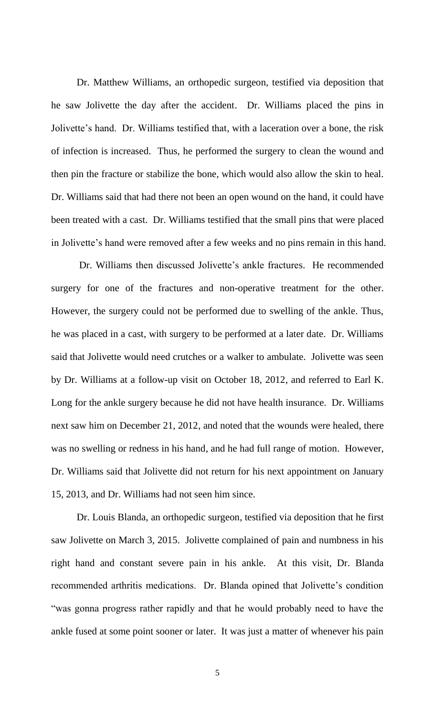Dr. Matthew Williams, an orthopedic surgeon, testified via deposition that he saw Jolivette the day after the accident. Dr. Williams placed the pins in Jolivette's hand. Dr. Williams testified that, with a laceration over a bone, the risk of infection is increased. Thus, he performed the surgery to clean the wound and then pin the fracture or stabilize the bone, which would also allow the skin to heal. Dr. Williams said that had there not been an open wound on the hand, it could have been treated with a cast. Dr. Williams testified that the small pins that were placed in Jolivette's hand were removed after a few weeks and no pins remain in this hand.

Dr. Williams then discussed Jolivette's ankle fractures. He recommended surgery for one of the fractures and non-operative treatment for the other. However, the surgery could not be performed due to swelling of the ankle. Thus, he was placed in a cast, with surgery to be performed at a later date. Dr. Williams said that Jolivette would need crutches or a walker to ambulate. Jolivette was seen by Dr. Williams at a follow-up visit on October 18, 2012, and referred to Earl K. Long for the ankle surgery because he did not have health insurance. Dr. Williams next saw him on December 21, 2012, and noted that the wounds were healed, there was no swelling or redness in his hand, and he had full range of motion. However, Dr. Williams said that Jolivette did not return for his next appointment on January 15, 2013, and Dr. Williams had not seen him since.

Dr. Louis Blanda, an orthopedic surgeon, testified via deposition that he first saw Jolivette on March 3, 2015. Jolivette complained of pain and numbness in his right hand and constant severe pain in his ankle. At this visit, Dr. Blanda recommended arthritis medications. Dr. Blanda opined that Jolivette's condition ―was gonna progress rather rapidly and that he would probably need to have the ankle fused at some point sooner or later. It was just a matter of whenever his pain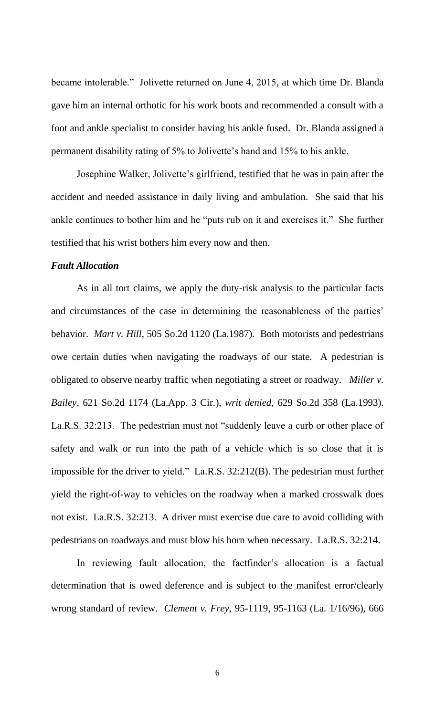became intolerable." Jolivette returned on June 4, 2015, at which time Dr. Blanda gave him an internal orthotic for his work boots and recommended a consult with a foot and ankle specialist to consider having his ankle fused. Dr. Blanda assigned a permanent disability rating of 5% to Jolivette's hand and 15% to his ankle.

Josephine Walker, Jolivette's girlfriend, testified that he was in pain after the accident and needed assistance in daily living and ambulation. She said that his ankle continues to bother him and he "puts rub on it and exercises it." She further testified that his wrist bothers him every now and then.

# *Fault Allocation*

As in all tort claims, we apply the duty-risk analysis to the particular facts and circumstances of the case in determining the reasonableness of the parties' behavior. *Mart v. Hill*, 505 So.2d 1120 (La.1987). Both motorists and pedestrians owe certain duties when navigating the roadways of our state. A pedestrian is obligated to observe nearby traffic when negotiating a street or roadway. *Miller v. Bailey*, 621 So.2d 1174 (La.App. 3 Cir.), *writ denied*, 629 So.2d 358 (La.1993). La.R.S. 32:213. The pedestrian must not "suddenly leave a curb or other place of safety and walk or run into the path of a vehicle which is so close that it is impossible for the driver to yield." La.R.S. 32:212(B). The pedestrian must further yield the right-of-way to vehicles on the roadway when a marked crosswalk does not exist. La.R.S. 32:213. A driver must exercise due care to avoid colliding with pedestrians on roadways and must blow his horn when necessary. La.R.S. 32:214.

In reviewing fault allocation, the factfinder's allocation is a factual determination that is owed deference and is subject to the manifest error/clearly wrong standard of review. *Clement v. Frey,* 95-1119, 95-1163 [\(La. 1/16/96\), 666](https://a.next.westlaw.com/Link/Document/FullText?findType=Y&serNum=1996031139&pubNum=735&originatingDoc=I2b31e60345e511dcb979ebb8243d536d&refType=RP&fi=co_pp_sp_735_609&originationContext=document&transitionType=DocumentItem&contextData=(sc.UserEnteredCitation)#co_pp_sp_735_609) 

6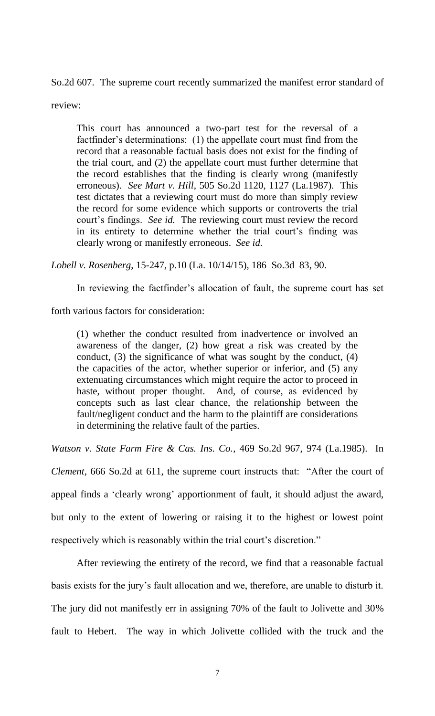[So.2d 607.](https://a.next.westlaw.com/Link/Document/FullText?findType=Y&serNum=1996031139&pubNum=735&originatingDoc=I2b31e60345e511dcb979ebb8243d536d&refType=RP&fi=co_pp_sp_735_609&originationContext=document&transitionType=DocumentItem&contextData=(sc.UserEnteredCitation)#co_pp_sp_735_609) The supreme court recently summarized the manifest error standard of

review:

This court has announced a two-part test for the reversal of a factfinder's determinations: (1) the appellate court must find from the record that a reasonable factual basis does not exist for the finding of the trial court, and (2) the appellate court must further determine that the record establishes that the finding is clearly wrong (manifestly erroneous). *See Mart v. Hill*, 505 So.2d 1120, 1127 (La.1987). This test dictates that a reviewing court must do more than simply review the record for some evidence which supports or controverts the trial court's findings. *See id.* The reviewing court must review the record in its entirety to determine whether the trial court's finding was clearly wrong or manifestly erroneous. *See id.*

*Lobell v. Rosenberg*, 15-247, p.10 (La. 10/14/15), 186 So.3d 83, 90.

In reviewing the factfinder's allocation of fault, the supreme court has set

forth various factors for consideration:

(1) whether the conduct resulted from inadvertence or involved an awareness of the danger, (2) how great a risk was created by the conduct, (3) the significance of what was sought by the conduct, (4) the capacities of the actor, whether superior or inferior, and (5) any extenuating circumstances which might require the actor to proceed in haste, without proper thought. And, of course, as evidenced by concepts such as last clear chance, the relationship between the fault/negligent conduct and the harm to the plaintiff are considerations in determining the relative fault of the parties.

*Watson v. State Farm Fire & Cas. Ins. Co.*, 469 So.2d 967, 974 (La.1985). In

*Clement*, 666 So.2d at 611, the supreme court instructs that: "After the court of appeal finds a 'clearly wrong' apportionment of fault, it should adjust the award, but only to the extent of lowering or raising it to the highest or lowest point respectively which is reasonably within the trial court's discretion."

After reviewing the entirety of the record, we find that a reasonable factual basis exists for the jury's fault allocation and we, therefore, are unable to disturb it. The jury did not manifestly err in assigning 70% of the fault to Jolivette and 30% fault to Hebert. The way in which Jolivette collided with the truck and the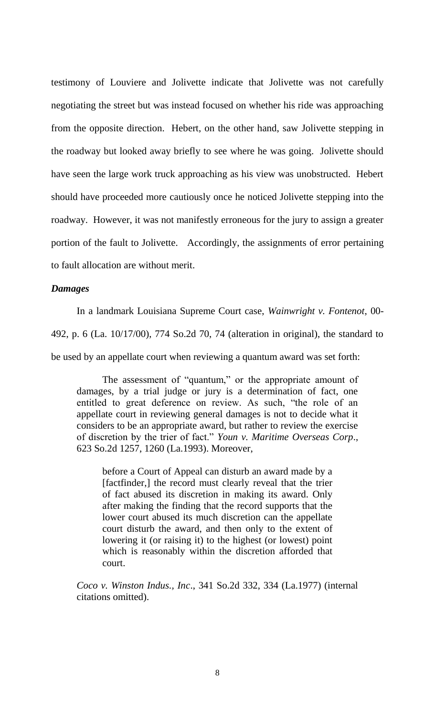testimony of Louviere and Jolivette indicate that Jolivette was not carefully negotiating the street but was instead focused on whether his ride was approaching from the opposite direction. Hebert, on the other hand, saw Jolivette stepping in the roadway but looked away briefly to see where he was going. Jolivette should have seen the large work truck approaching as his view was unobstructed. Hebert should have proceeded more cautiously once he noticed Jolivette stepping into the roadway. However, it was not manifestly erroneous for the jury to assign a greater portion of the fault to Jolivette. Accordingly, the assignments of error pertaining to fault allocation are without merit.

#### *Damages*

In a landmark Louisiana Supreme Court case, *Wainwright v. Fontenot*, 00-

492, p. 6 (La. 10/17/00), 774 So.2d 70, 74 (alteration in original), the standard to

be used by an appellate court when reviewing a quantum award was set forth:

The assessment of "quantum," or the appropriate amount of damages, by a trial judge or jury is a determination of fact, one entitled to great deference on review. As such, "the role of an appellate court in reviewing general damages is not to decide what it considers to be an appropriate award, but rather to review the exercise of discretion by the trier of fact.‖ *Youn v. Maritime Overseas Corp*., 623 So.2d 1257, 1260 (La.1993). Moreover,

before a Court of Appeal can disturb an award made by a [factfinder,] the record must clearly reveal that the trier of fact abused its discretion in making its award. Only after making the finding that the record supports that the lower court abused its much discretion can the appellate court disturb the award, and then only to the extent of lowering it (or raising it) to the highest (or lowest) point which is reasonably within the discretion afforded that court.

*Coco v. Winston Indus., Inc*., 341 So.2d 332, 334 (La.1977) (internal citations omitted).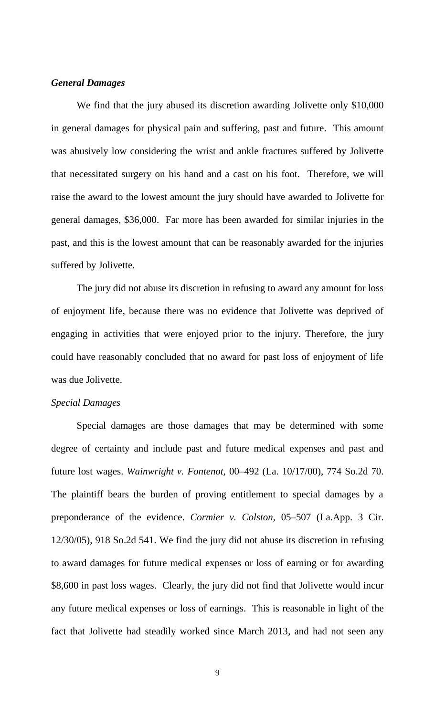# *General Damages*

We find that the jury abused its discretion awarding Jolivette only \$10,000 in general damages for physical pain and suffering, past and future. This amount was abusively low considering the wrist and ankle fractures suffered by Jolivette that necessitated surgery on his hand and a cast on his foot. Therefore, we will raise the award to the lowest amount the jury should have awarded to Jolivette for general damages, \$36,000. Far more has been awarded for similar injuries in the past, and this is the lowest amount that can be reasonably awarded for the injuries suffered by Jolivette.

The jury did not abuse its discretion in refusing to award any amount for loss of enjoyment life, because there was no evidence that Jolivette was deprived of engaging in activities that were enjoyed prior to the injury. Therefore, the jury could have reasonably concluded that no award for past loss of enjoyment of life was due Jolivette.

#### *Special Damages*

Special damages are those damages that may be determined with some degree of certainty and include past and future medical expenses and past and future lost wages. *Wainwright v. Fontenot,* 00–492 (La. [10/17/00\), 774 So.2d 70.](https://1.next.westlaw.com/Link/Document/FullText?findType=Y&serNum=2000573414&pubNum=735&originatingDoc=I06dc865e8a4c11e3a659df62eba144e8&refType=RP&originationContext=document&transitionType=DocumentItem&contextData=(sc.Search)) The plaintiff bears the burden of proving entitlement to special damages by a preponderance of the evidence. *Cormier v. Colston,* [05–507 \(La.App. 3 Cir.](https://1.next.westlaw.com/Link/Document/FullText?findType=Y&serNum=2008061973&pubNum=735&originatingDoc=I06dc865e8a4c11e3a659df62eba144e8&refType=RP&originationContext=document&transitionType=DocumentItem&contextData=(sc.Search))  [12/30/05\), 918 So.2d 541.](https://1.next.westlaw.com/Link/Document/FullText?findType=Y&serNum=2008061973&pubNum=735&originatingDoc=I06dc865e8a4c11e3a659df62eba144e8&refType=RP&originationContext=document&transitionType=DocumentItem&contextData=(sc.Search)) We find the jury did not abuse its discretion in refusing to award damages for future medical expenses or loss of earning or for awarding \$8,600 in past loss wages. Clearly, the jury did not find that Jolivette would incur any future medical expenses or loss of earnings. This is reasonable in light of the fact that Jolivette had steadily worked since March 2013, and had not seen any